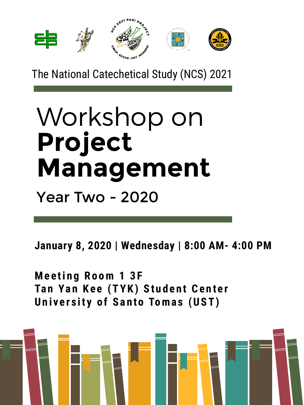### **January 8, 2020 | Wednesday | 8:00 AM- 4:00 PM**

# Workshop on **Project Management** Year Two - 2020

**Me e ti n g Ro om 1 3 F Ta n Ya n Ke e (T YK) St u d e n t Ce n t e r Un i v e r s it y o f Sa n to Toma s (UST)**





## The National Catechetical Study (NCS) 2021